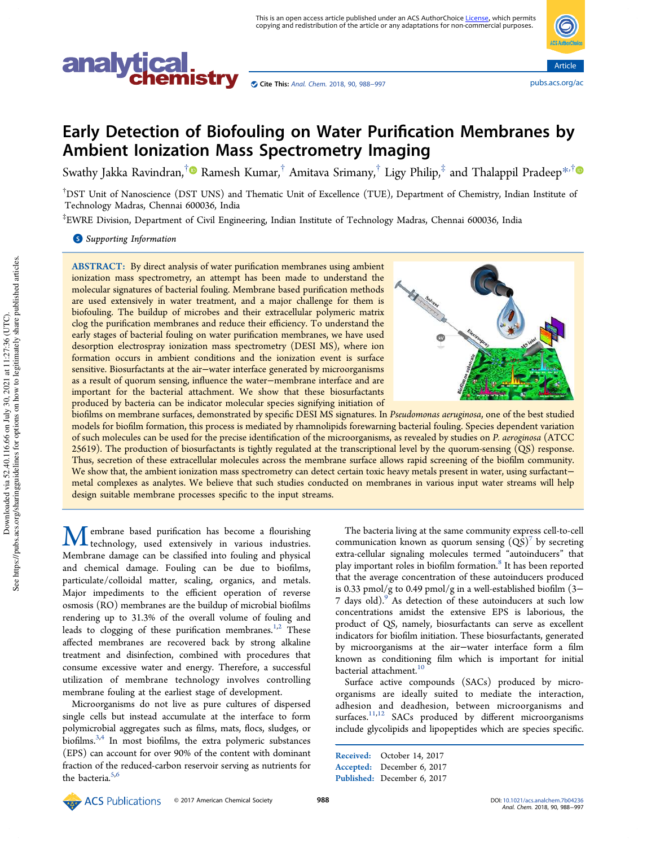



# Early Detection of Biofouling on Water Purification Membranes by Ambient Ionization Mass Spectrometry Imaging

Swathy Jakka Ravindran, $^\dagger$ ® Ramesh Kumar, $^\dagger$  Amitava Srimany, $^\dagger$  Ligy Philip, $^\ddagger$  and Thalappil Pradeep $^{*,\dagger}$ 

†DST Unit of Nanoscience (DST UNS) and Thematic Unit of Excellence (TUE), Department of Chemistry, Indian Institute of Technology Madras, Chennai 600036, India

‡ EWRE Division, Department of Civil Engineering, Indian Institute of Technology Madras, Chennai 600036, India

**S** Supporting Information

ABSTRACT: By direct analysis of water purification membranes using ambient ionization mass spectrometry, an attempt has been made to understand the molecular signatures of bacterial fouling. Membrane based purification methods are used extensively in water treatment, and a major challenge for them is biofouling. The buildup of microbes and their extracellular polymeric matrix clog the purification membranes and reduce their efficiency. To understand the early stages of bacterial fouling on water purification membranes, we have used desorption electrospray ionization mass spectrometry (DESI MS), where ion formation occurs in ambient conditions and the ionization event is surface sensitive. Biosurfactants at the air−water interface generated by microorganisms as a result of quorum sensing, influence the water−membrane interface and are important for the bacterial attachment. We show that these biosurfactants produced by bacteria can be indicator molecular species signifying initiation of



biofilms on membrane surfaces, demonstrated by specific DESI MS signatures. In *Pseudomonas aeruginosa*, one of the best studied models for biofilm formation, this process is mediated by rhamnolipids forewarning bacterial fouling. Species dependent variation of such molecules can be used for the precise identification of the microorganisms, as revealed by studies on *P. aeroginosa* (ATCC 25619). The production of biosurfactants is tightly regulated at the transcriptional level by the quorum-sensing (QS) response. Thus, secretion of these extracellular molecules across the membrane surface allows rapid screening of the biofilm community. We show that, the ambient ionization mass spectrometry can detect certain toxic heavy metals present in water, using surfactant− metal complexes as analytes. We believe that such studies conducted on membranes in various input water streams will help design suitable membrane processes specific to the input streams.

Membrane based purification has become a flourishing<br>technology, used extensively in various industries. Membrane damage can be classified into fouling and physical and chemical damage. Fouling can be due to biofilms, particulate/colloidal matter, scaling, organics, and metals. Major impediments to the efficient operation of reverse osmosis (RO) membranes are the buildup of microbial biofilms rendering up to 31.3% of the overall volume of fouling and leads to clogging of these purification membranes.<sup>1,2</sup> These affected membranes are recovered back by strong alkaline treatment and disinfection, combined with procedures that consume excessive water and energy. Therefore, a successful utilization of membrane technology involves controlling membrane fouling at the earliest stage of development.

Microorganisms do not live as pure cultures of dispersed single cells but instead accumulate at the interface to form polymicrobial aggregates such as films, mats, flocs, sludges, or biofilms.3,4 In most biofilms, the extra polymeric substances (EPS) can account for over 90% of the content with dominant fraction of the reduced-carbon reservoir serving as nutrients for the bacteria. $5,6$ 

The bacteria living at the same community express cell-to-cell communication known as quorum sensing  $(Q\bar{S})^7$  by secreting extra-cellular signaling molecules termed "autoinducers" that play important roles in biofilm formation.<sup>8</sup> It has been reported that the average concentration of these autoinducers produced is 0.33 pmol/g to 0.49 pmol/g in a well-established biofilm (3− 7 days old).<sup>9</sup> As detection of these autoinducers at such low concentrations amidst the extensive EPS is laborious, the product of QS, namely, biosurfactants can serve as excellent indicators for biofilm initiation. These biosurfactants, generated by microorganisms at the air−water interface form a film known as conditioning film which is important for initial bacterial attachment.<sup>10</sup>

Surface active compounds (SACs) produced by microorganisms are ideally suited to mediate the interaction, adhesion and deadhesion, between microorganisms and surfaces.<sup>11,12</sup> SACs produced by different microorganisms include glycolipids and lipopeptides which are species specific.

Received: October 14, 2017 Accepted: December 6, 2017 Published: December 6, 2017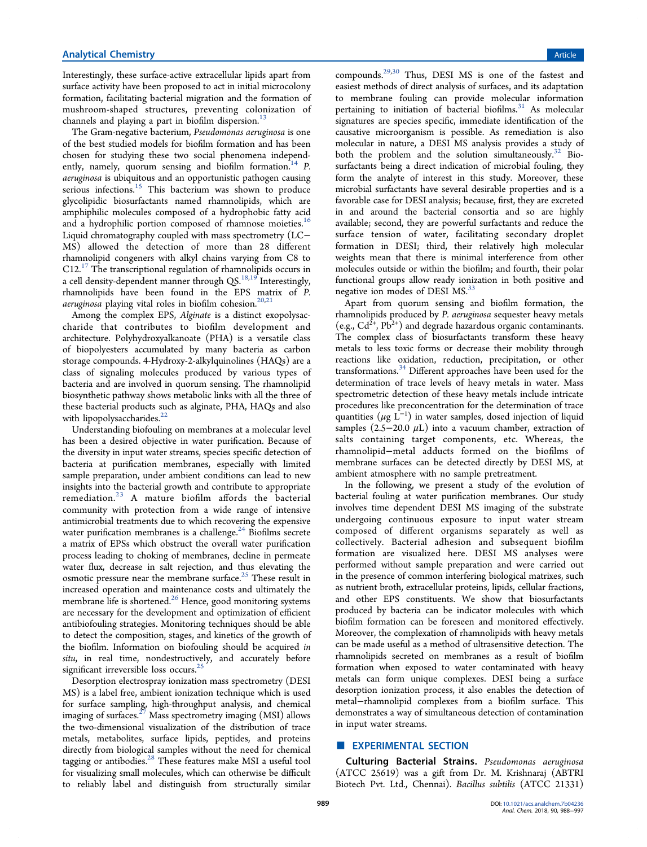Interestingly, these surface-active extracellular lipids apart from surface activity have been proposed to act in initial microcolony formation, facilitating bacterial migration and the formation of mushroom-shaped structures, preventing colonization of channels and playing a part in biofilm dispersion.<sup>13</sup>

The Gram-negative bacterium, *Pseudomonas aeruginosa* is one of the best studied models for biofilm formation and has been chosen for studying these two social phenomena independently, namely, quorum sensing and biofilm formation.<sup>14</sup> P. *aeruginosa* is ubiquitous and an opportunistic pathogen causing serious infections.<sup>15</sup> This bacterium was shown to produce glycolipidic biosurfactants named rhamnolipids, which are amphiphilic molecules composed of a hydrophobic fatty acid and a hydrophilic portion composed of rhamnose moieties.<sup>16</sup> Liquid chromatography coupled with mass spectrometry (LC− MS) allowed the detection of more than 28 different rhamnolipid congeners with alkyl chains varying from C8 to  $C12.<sup>17</sup>$  The transcriptional regulation of rhamnolipids occurs in a cell density-dependent manner through  $QS.^{18,19'}$  Interestingly, rhamnolipids have been found in the EPS matrix of *P.* aeruginosa playing vital roles in biofilm cohesion.<sup>20,21</sup>

Among the complex EPS, *Alginate* is a distinct exopolysaccharide that contributes to biofilm development and architecture. Polyhydroxyalkanoate (PHA) is a versatile class of biopolyesters accumulated by many bacteria as carbon storage compounds. 4-Hydroxy-2-alkylquinolines (HAQs) are a class of signaling molecules produced by various types of bacteria and are involved in quorum sensing. The rhamnolipid biosynthetic pathway shows metabolic links with all the three of these bacterial products such as alginate, PHA, HAQs and also with lipopolysaccharides.<sup>22</sup>

Understanding biofouling on membranes at a molecular level has been a desired objective in water purification. Because of the diversity in input water streams, species specific detection of bacteria at purification membranes, especially with limited sample preparation, under ambient conditions can lead to new insights into the bacterial growth and contribute to appropriate remediation. $^{23}$  A mature biofilm affords the bacterial community with protection from a wide range of intensive antimicrobial treatments due to which recovering the expensive water purification membranes is a challenge. $^{24}$  Biofilms secrete a matrix of EPSs which obstruct the overall water purification process leading to choking of membranes, decline in permeate water flux, decrease in salt rejection, and thus elevating the osmotic pressure near the membrane surface.<sup>25</sup> These result in increased operation and maintenance costs and ultimately the membrane life is shortened.<sup>26</sup> Hence, good monitoring systems are necessary for the development and optimization of efficient antibiofouling strategies. Monitoring techniques should be able to detect the composition, stages, and kinetics of the growth of the biofilm. Information on biofouling should be acquired *in situ*, in real time, nondestructively, and accurately before significant irreversible loss occurs.<sup>25</sup>

Desorption electrospray ionization mass spectrometry (DESI MS) is a label free, ambient ionization technique which is used for surface sampling, high-throughput analysis, and chemical imaging of surfaces.<sup>27</sup> Mass spectrometry imaging (MSI) allows the two-dimensional visualization of the distribution of trace metals, metabolites, surface lipids, peptides, and proteins directly from biological samples without the need for chemical tagging or antibodies.<sup>28</sup> These features make MSI a useful tool for visualizing small molecules, which can otherwise be difficult to reliably label and distinguish from structurally similar

compounds.29,30 Thus, DESI MS is one of the fastest and easiest methods of direct analysis of surfaces, and its adaptation to membrane fouling can provide molecular information pertaining to initiation of bacterial biofilms.<sup>31</sup> As molecular signatures are species specific, immediate identification of the causative microorganism is possible. As remediation is also molecular in nature, a DESI MS analysis provides a study of both the problem and the solution simultaneously. $32$  Biosurfactants being a direct indication of microbial fouling, they form the analyte of interest in this study. Moreover, these microbial surfactants have several desirable properties and is a favorable case for DESI analysis; because, first, they are excreted in and around the bacterial consortia and so are highly available; second, they are powerful surfactants and reduce the surface tension of water, facilitating secondary droplet formation in DESI; third, their relatively high molecular weights mean that there is minimal interference from other molecules outside or within the biofilm; and fourth, their polar functional groups allow ready ionization in both positive and negative ion modes of DESI MS.<sup>33</sup>

Apart from quorum sensing and biofilm formation, the rhamnolipids produced by *P. aeruginosa* sequester heavy metals (e.g.,  $Cd^{2+}$ ,  $Pb^{2+}$ ) and degrade hazardous organic contaminants. The complex class of biosurfactants transform these heavy metals to less toxic forms or decrease their mobility through reactions like oxidation, reduction, precipitation, or other transformations.<sup>34</sup> Different approaches have been used for the determination of trace levels of heavy metals in water. Mass spectrometric detection of these heavy metals include intricate procedures like preconcentration for the determination of trace quantities  $(\mu g \stackrel{\text{t}}{L^{-1}})$  in water samples, dosed injection of liquid samples (2.5−20.0  $\mu$ L) into a vacuum chamber, extraction of salts containing target components, etc. Whereas, the rhamnolipid−metal adducts formed on the biofilms of membrane surfaces can be detected directly by DESI MS, at ambient atmosphere with no sample pretreatment.

In the following, we present a study of the evolution of bacterial fouling at water purification membranes. Our study involves time dependent DESI MS imaging of the substrate undergoing continuous exposure to input water stream composed of different organisms separately as well as collectively. Bacterial adhesion and subsequent biofilm formation are visualized here. DESI MS analyses were performed without sample preparation and were carried out in the presence of common interfering biological matrixes, such as nutrient broth, extracellular proteins, lipids, cellular fractions, and other EPS constituents. We show that biosurfactants produced by bacteria can be indicator molecules with which biofilm formation can be foreseen and monitored effectively. Moreover, the complexation of rhamnolipids with heavy metals can be made useful as a method of ultrasensitive detection. The rhamnolipids secreted on membranes as a result of biofilm formation when exposed to water contaminated with heavy metals can form unique complexes. DESI being a surface desorption ionization process, it also enables the detection of metal−rhamnolipid complexes from a biofilm surface. This demonstrates a way of simultaneous detection of contamination in input water streams.

# **EXPERIMENTAL SECTION**

Culturing Bacterial Strains. *Pseudomonas aeruginosa* (ATCC 25619) was a gift from Dr. M. Krishnaraj (ABTRI Biotech Pvt. Ltd., Chennai). *Bacillus subtilis* (ATCC 21331)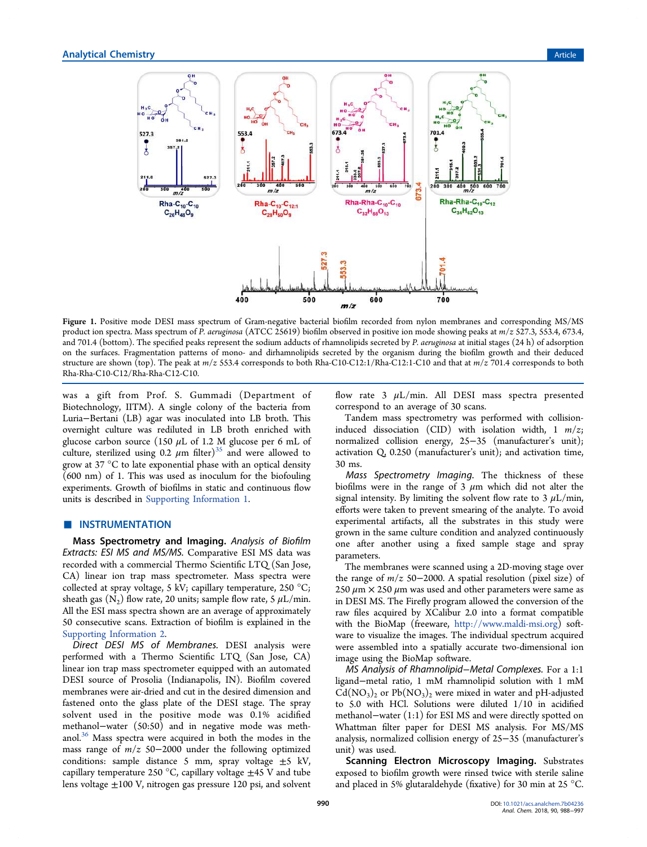

Figure 1. Positive mode DESI mass spectrum of Gram-negative bacterial biofilm recorded from nylon membranes and corresponding MS/MS product ion spectra. Mass spectrum of *P. aeruginosa* (ATCC 25619) biofilm observed in positive ion mode showing peaks at *m*/*z* 527.3, 553.4, 673.4, and 701.4 (bottom). The specified peaks represent the sodium adducts of rhamnolipids secreted by *P. aeruginosa* at initial stages (24 h) of adsorption on the surfaces. Fragmentation patterns of mono- and dirhamnolipids secreted by the organism during the biofilm growth and their deduced structure are shown (top). The peak at *m*/*z* 553.4 corresponds to both Rha-C10-C12:1/Rha-C12:1-C10 and that at *m*/*z* 701.4 corresponds to both Rha-Rha-C10-C12/Rha-Rha-C12-C10.

was a gift from Prof. S. Gummadi (Department of Biotechnology, IITM). A single colony of the bacteria from Luria−Bertani (LB) agar was inoculated into LB broth. This overnight culture was rediluted in LB broth enriched with glucose carbon source (150  $\mu$ L of 1.2 M glucose per 6 mL of culture, sterilized using 0.2  $\mu$ m filter)<sup>35</sup> and were allowed to grow at 37 °C to late exponential phase with an optical density (600 nm) of 1. This was used as inoculum for the biofouling experiments. Growth of biofilms in static and continuous flow units is described in Supporting Information 1.

## ■ INSTRUMENTATION

Mass Spectrometry and Imaging. *Analysis of Bio*fi*lm Extracts: ESI MS and MS/MS.* Comparative ESI MS data was recorded with a commercial Thermo Scientific LTQ (San Jose, CA) linear ion trap mass spectrometer. Mass spectra were collected at spray voltage, 5 kV; capillary temperature, 250 °C; sheath gas  $(N_2)$  flow rate, 20 units; sample flow rate, 5  $\mu$ L/min. All the ESI mass spectra shown are an average of approximately 50 consecutive scans. Extraction of biofilm is explained in the Supporting Information 2.

*Direct DESI MS of Membranes.* DESI analysis were performed with a Thermo Scientific LTQ (San Jose, CA) linear ion trap mass spectrometer equipped with an automated DESI source of Prosolia (Indianapolis, IN). Biofilm covered membranes were air-dried and cut in the desired dimension and fastened onto the glass plate of the DESI stage. The spray solvent used in the positive mode was 0.1% acidified methanol−water (50:50) and in negative mode was methanol.<sup>36</sup> Mass spectra were acquired in both the modes in the mass range of *m*/*z* 50−2000 under the following optimized conditions: sample distance 5 mm, spray voltage  $\pm$ 5 kV, capillary temperature 250 °C, capillary voltage  $\pm$ 45 V and tube lens voltage  $\pm 100$  V, nitrogen gas pressure 120 psi, and solvent flow rate 3  $\mu$ L/min. All DESI mass spectra presented correspond to an average of 30 scans.

Tandem mass spectrometry was performed with collisioninduced dissociation (CID) with isolation width, 1 *m*/*z*; normalized collision energy, 25−35 (manufacturer's unit); activation Q, 0.250 (manufacturer's unit); and activation time, 30 ms.

*Mass Spectrometry Imaging.* The thickness of these biofilms were in the range of 3  $\mu$ m which did not alter the signal intensity. By limiting the solvent flow rate to  $3 \mu L/min$ , efforts were taken to prevent smearing of the analyte. To avoid experimental artifacts, all the substrates in this study were grown in the same culture condition and analyzed continuously one after another using a fixed sample stage and spray parameters.

The membranes were scanned using a 2D-moving stage over the range of *m*/*z* 50−2000. A spatial resolution (pixel size) of 250  $\mu$ m  $\times$  250  $\mu$ m was used and other parameters were same as in DESI MS. The Firefly program allowed the conversion of the raw files acquired by XCalibur 2.0 into a format compatible with the BioMap (freeware, http://www.maldi-msi.org) software to visualize the images. The individual spectrum acquired were assembled into a spatially accurate two-dimensional ion image using the BioMap software.

*MS Analysis of Rhamnolipid*−*Metal Complexes.* For a 1:1 ligand−metal ratio, 1 mM rhamnolipid solution with 1 mM  $Cd(NO<sub>3</sub>)<sub>2</sub>$  or  $Pb(NO<sub>3</sub>)<sub>2</sub>$  were mixed in water and pH-adjusted to 5.0 with HCl. Solutions were diluted 1/10 in acidified methanol−water (1:1) for ESI MS and were directly spotted on Whattman filter paper for DESI MS analysis. For MS/MS analysis, normalized collision energy of 25−35 (manufacturer's unit) was used.

Scanning Electron Microscopy Imaging. Substrates exposed to biofilm growth were rinsed twice with sterile saline and placed in 5% glutaraldehyde (fixative) for 30 min at 25 °C.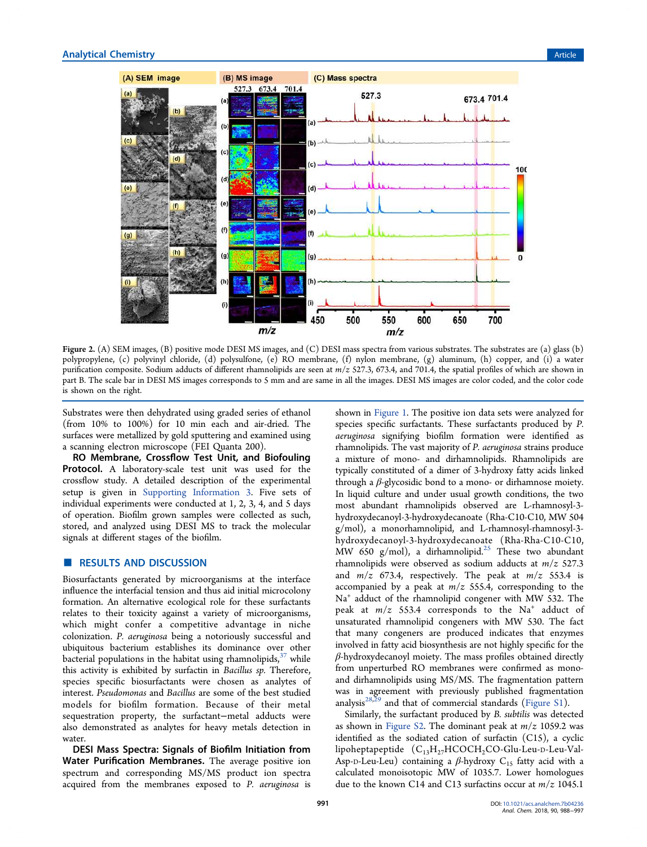

Figure 2. (A) SEM images, (B) positive mode DESI MS images, and (C) DESI mass spectra from various substrates. The substrates are (a) glass (b) polypropylene, (c) polyvinyl chloride, (d) polysulfone, (e) RO membrane, (f) nylon membrane, (g) aluminum, (h) copper, and (i) a water purification composite. Sodium adducts of different rhamnolipids are seen at *m*/*z* 527.3, 673.4, and 701.4, the spatial profiles of which are shown in part B. The scale bar in DESI MS images corresponds to 5 mm and are same in all the images. DESI MS images are color coded, and the color code is shown on the right.

Substrates were then dehydrated using graded series of ethanol (from 10% to 100%) for 10 min each and air-dried. The surfaces were metallized by gold sputtering and examined using a scanning electron microscope (FEI Quanta 200).

RO Membrane, Crossflow Test Unit, and Biofouling Protocol. A laboratory-scale test unit was used for the crossflow study. A detailed description of the experimental setup is given in Supporting Information 3. Five sets of individual experiments were conducted at 1, 2, 3, 4, and 5 days of operation. Biofilm grown samples were collected as such, stored, and analyzed using DESI MS to track the molecular signals at different stages of the biofilm.

# ■ RESULTS AND DISCUSSION

Biosurfactants generated by microorganisms at the interface influence the interfacial tension and thus aid initial microcolony formation. An alternative ecological role for these surfactants relates to their toxicity against a variety of microorganisms, which might confer a competitive advantage in niche colonization. *P. aeruginosa* being a notoriously successful and ubiquitous bacterium establishes its dominance over other bacterial populations in the habitat using rhamnolipids, $37$  while this activity is exhibited by surfactin in *Bacillus sp.* Therefore, species specific biosurfactants were chosen as analytes of interest. *Pseudomonas* and *Bacillus* are some of the best studied models for biofilm formation. Because of their metal sequestration property, the surfactant−metal adducts were also demonstrated as analytes for heavy metals detection in water.

DESI Mass Spectra: Signals of Biofilm Initiation from Water Purification Membranes. The average positive ion spectrum and corresponding MS/MS product ion spectra acquired from the membranes exposed to *P. aeruginosa* is

shown in Figure 1. The positive ion data sets were analyzed for species specific surfactants. These surfactants produced by *P. aeruginosa* signifying biofilm formation were identified as rhamnolipids. The vast majority of *P. aeruginosa* strains produce a mixture of mono- and dirhamnolipids. Rhamnolipids are typically constituted of a dimer of 3-hydroxy fatty acids linked through a  $\beta$ -glycosidic bond to a mono- or dirhamnose moiety. In liquid culture and under usual growth conditions, the two most abundant rhamnolipids observed are L-rhamnosyl-3 hydroxydecanoyl-3-hydroxydecanoate (Rha-C10-C10, MW 504 g/mol), a monorhamnolipid, and L-rhamnosyl-rhamnosyl-3 hydroxydecanoyl-3-hydroxydecanoate (Rha-Rha-C10-C10, MW 650 g/mol), a dirhamnolipid. $25$  These two abundant rhamnolipids were observed as sodium adducts at *m*/*z* 527.3 and *m*/*z* 673.4, respectively. The peak at *m*/*z* 553.4 is accompanied by a peak at *m*/*z* 555.4, corresponding to the Na<sup>+</sup> adduct of the rhamnolipid congener with MW 532. The peak at  $m/z$  553.4 corresponds to the  $Na<sup>+</sup>$  adduct of unsaturated rhamnolipid congeners with MW 530. The fact that many congeners are produced indicates that enzymes involved in fatty acid biosynthesis are not highly specific for the  $\beta$ -hydroxydecanoyl moiety. The mass profiles obtained directly from unperturbed RO membranes were confirmed as monoand dirhamnolipids using MS/MS. The fragmentation pattern was in agreement with previously published fragmentation analysis<sup>28,29</sup> and that of commercial standards (Figure S1).

Similarly, the surfactant produced by *B. subtilis* was detected as shown in Figure S2. The dominant peak at *m*/*z* 1059.2 was identified as the sodiated cation of surfactin (C15), a cyclic lipoheptapeptide  $(C_{13}H_{27}HCOCH_2CO\text{-Glu-Leu-D-Leu-Val-}$ Asp-D-Leu-Leu) containing a  $\beta$ -hydroxy C<sub>15</sub> fatty acid with a calculated monoisotopic MW of 1035.7. Lower homologues due to the known C14 and C13 surfactins occur at *m*/*z* 1045.1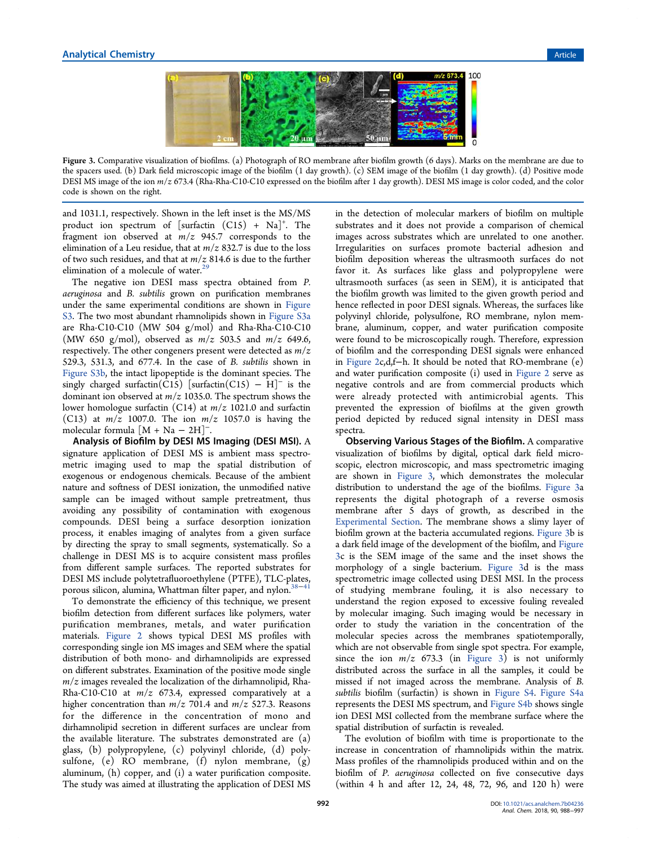

Figure 3. Comparative visualization of biofilms. (a) Photograph of RO membrane after biofilm growth (6 days). Marks on the membrane are due to the spacers used. (b) Dark field microscopic image of the biofilm (1 day growth). (c) SEM image of the biofilm (1 day growth). (d) Positive mode DESI MS image of the ion *m*/*z* 673.4 (Rha-Rha-C10-C10 expressed on the biofilm after 1 day growth). DESI MS image is color coded, and the color code is shown on the right.

and 1031.1, respectively. Shown in the left inset is the MS/MS product ion spectrum of [surfactin  $(C15) + Na$ ]<sup>+</sup>. The fragment ion observed at *m*/*z* 945.7 corresponds to the elimination of a Leu residue, that at *m*/*z* 832.7 is due to the loss of two such residues, and that at *m*/*z* 814.6 is due to the further elimination of a molecule of water.<sup>29</sup>

The negative ion DESI mass spectra obtained from *P. aeruginosa* and *B. subtilis* grown on purification membranes under the same experimental conditions are shown in Figure S3. The two most abundant rhamnolipids shown in Figure S3a are Rha-C10-C10 (MW 504 g/mol) and Rha-Rha-C10-C10 (MW 650 g/mol), observed as *m*/*z* 503.5 and *m*/*z* 649.6, respectively. The other congeners present were detected as *m*/*z* 529.3, 531.3, and 677.4. In the case of *B. subtilis* shown in Figure S3b, the intact lipopeptide is the dominant species. The singly charged surfactin( $\overline{\text{C15}}$ ) [surfactin( $\overline{\text{C15}}$ )  $\overline{-\text{H}}$ ]<sup>-</sup> is the dominant ion observed at *m*/*z* 1035.0. The spectrum shows the lower homologue surfactin (C14) at *m*/*z* 1021.0 and surfactin (C13) at *m*/*z* 1007.0. The ion *m*/*z* 1057.0 is having the molecular formula  $[M + Na - 2H]$ <sup>-</sup>. .

Analysis of Biofilm by DESI MS Imaging (DESI MSI). A signature application of DESI MS is ambient mass spectrometric imaging used to map the spatial distribution of exogenous or endogenous chemicals. Because of the ambient nature and softness of DESI ionization, the unmodified native sample can be imaged without sample pretreatment, thus avoiding any possibility of contamination with exogenous compounds. DESI being a surface desorption ionization process, it enables imaging of analytes from a given surface by directing the spray to small segments, systematically. So a challenge in DESI MS is to acquire consistent mass profiles from different sample surfaces. The reported substrates for DESI MS include polytetrafluoroethylene (PTFE), TLC-plates, porous silicon, alumina, Whattman filter paper, and nylon.<sup>38−41</sup>

To demonstrate the efficiency of this technique, we present biofilm detection from different surfaces like polymers, water purification membranes, metals, and water purification materials. Figure 2 shows typical DESI MS profiles with corresponding single ion MS images and SEM where the spatial distribution of both mono- and dirhamnolipids are expressed on different substrates. Examination of the positive mode single *m*/*z* images revealed the localization of the dirhamnolipid, Rha-Rha-C10-C10 at *m*/*z* 673.4, expressed comparatively at a higher concentration than *m*/*z* 701.4 and *m*/*z* 527.3. Reasons for the difference in the concentration of mono and dirhamnolipid secretion in different surfaces are unclear from the available literature. The substrates demonstrated are (a) glass, (b) polypropylene, (c) polyvinyl chloride, (d) polysulfone, (e) RO membrane, (f) nylon membrane, (g) aluminum, (h) copper, and (i) a water purification composite. The study was aimed at illustrating the application of DESI MS

in the detection of molecular markers of biofilm on multiple substrates and it does not provide a comparison of chemical images across substrates which are unrelated to one another. Irregularities on surfaces promote bacterial adhesion and biofilm deposition whereas the ultrasmooth surfaces do not favor it. As surfaces like glass and polypropylene were ultrasmooth surfaces (as seen in SEM), it is anticipated that the biofilm growth was limited to the given growth period and hence reflected in poor DESI signals. Whereas, the surfaces like polyvinyl chloride, polysulfone, RO membrane, nylon membrane, aluminum, copper, and water purification composite were found to be microscopically rough. Therefore, expression of biofilm and the corresponding DESI signals were enhanced in Figure 2c,d,f−h. It should be noted that RO-membrane (e) and water purification composite (i) used in Figure 2 serve as negative controls and are from commercial products which were already protected with antimicrobial agents. This prevented the expression of biofilms at the given growth period depicted by reduced signal intensity in DESI mass spectra.

Observing Various Stages of the Biofilm. A comparative visualization of biofilms by digital, optical dark field microscopic, electron microscopic, and mass spectrometric imaging are shown in Figure 3, which demonstrates the molecular distribution to understand the age of the biofilms. Figure 3a represents the digital photograph of a reverse osmosis membrane after 5 days of growth, as described in the Experimental Section. The membrane shows a slimy layer of biofilm grown at the bacteria accumulated regions. Figure 3b is a dark field image of the development of the biofilm, and Figure 3c is the SEM image of the same and the inset shows the morphology of a single bacterium. Figure 3d is the mass spectrometric image collected using DESI MSI. In the process of studying membrane fouling, it is also necessary to understand the region exposed to excessive fouling revealed by molecular imaging. Such imaging would be necessary in order to study the variation in the concentration of the molecular species across the membranes spatiotemporally, which are not observable from single spot spectra. For example, since the ion  $m/z$  673.3 (in Figure 3) is not uniformly distributed across the surface in all the samples, it could be missed if not imaged across the membrane. Analysis of *B. subtilis* biofilm (surfactin) is shown in Figure S4. Figure S4a represents the DESI MS spectrum, and Figure S4b shows single ion DESI MSI collected from the membrane surface where the spatial distribution of surfactin is revealed.

The evolution of biofilm with time is proportionate to the increase in concentration of rhamnolipids within the matrix. Mass profiles of the rhamnolipids produced within and on the biofilm of *P. aeruginosa* collected on five consecutive days (within 4 h and after 12, 24, 48, 72, 96, and 120 h) were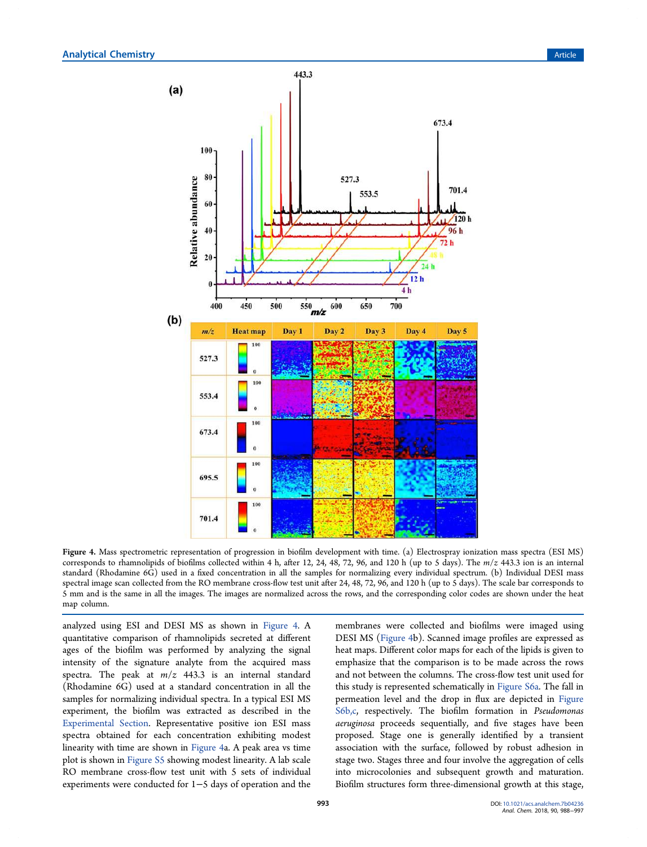

Figure 4. Mass spectrometric representation of progression in biofilm development with time. (a) Electrospray ionization mass spectra (ESI MS) corresponds to rhamnolipids of biofilms collected within 4 h, after 12, 24, 48, 72, 96, and 120 h (up to 5 days). The *m*/*z* 443.3 ion is an internal standard (Rhodamine 6G) used in a fixed concentration in all the samples for normalizing every individual spectrum. (b) Individual DESI mass spectral image scan collected from the RO membrane cross-flow test unit after 24, 48, 72, 96, and 120 h (up to 5 days). The scale bar corresponds to 5 mm and is the same in all the images. The images are normalized across the rows, and the corresponding color codes are shown under the heat map column.

analyzed using ESI and DESI MS as shown in Figure 4. A quantitative comparison of rhamnolipids secreted at different ages of the biofilm was performed by analyzing the signal intensity of the signature analyte from the acquired mass spectra. The peak at *m*/*z* 443.3 is an internal standard (Rhodamine 6G) used at a standard concentration in all the samples for normalizing individual spectra. In a typical ESI MS experiment, the biofilm was extracted as described in the Experimental Section. Representative positive ion ESI mass spectra obtained for each concentration exhibiting modest linearity with time are shown in Figure 4a. A peak area vs time plot is shown in Figure S5 showing modest linearity. A lab scale RO membrane cross-flow test unit with 5 sets of individual experiments were conducted for 1−5 days of operation and the

membranes were collected and biofilms were imaged using DESI MS (Figure 4b). Scanned image profiles are expressed as heat maps. Different color maps for each of the lipids is given to emphasize that the comparison is to be made across the rows and not between the columns. The cross-flow test unit used for this study is represented schematically in Figure S6a. The fall in permeation level and the drop in flux are depicted in Figure S6b,c, respectively. The biofilm formation in *Pseudomonas aeruginosa* proceeds sequentially, and five stages have been proposed. Stage one is generally identified by a transient association with the surface, followed by robust adhesion in stage two. Stages three and four involve the aggregation of cells into microcolonies and subsequent growth and maturation. Biofilm structures form three-dimensional growth at this stage,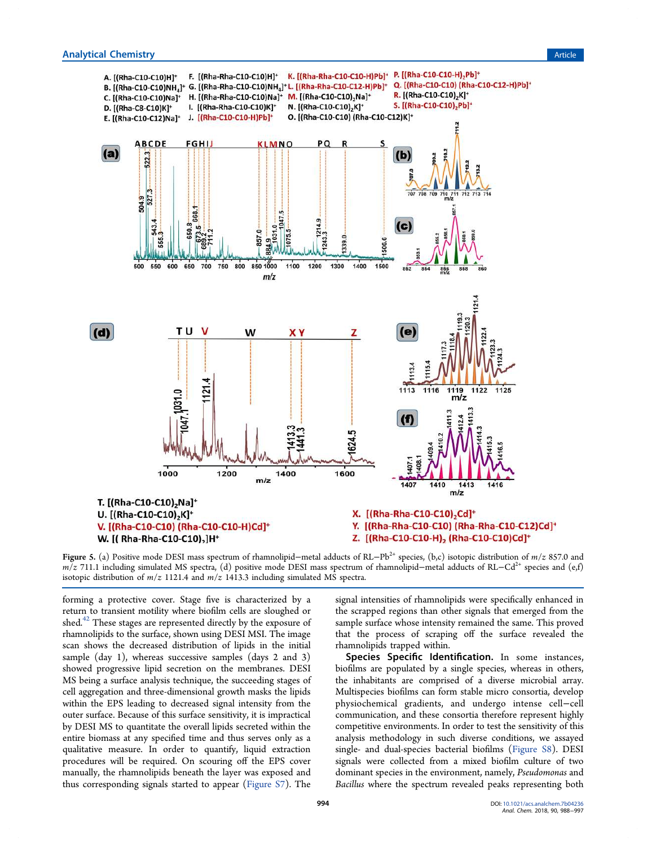**Analytical Chemistry Article** Article **Article Article Article Article Article Article Article Article** 



Figure 5. (a) Positive mode DESI mass spectrum of rhamnolipid−metal adducts of RL−Pb2+ species, (b,c) isotopic distribution of *m*/*z* 857.0 and *m*/*z* 711.1 including simulated MS spectra, (d) positive mode DESI mass spectrum of rhamnolipid–metal adducts of RL−Cd<sup>2+</sup> species and (e,f) isotopic distribution of *m*/*z* 1121.4 and *m*/*z* 1413.3 including simulated MS spectra.

forming a protective cover. Stage five is characterized by a return to transient motility where biofilm cells are sloughed or shed.<sup>42</sup> These stages are represented directly by the exposure of rhamnolipids to the surface, shown using DESI MSI. The image scan shows the decreased distribution of lipids in the initial sample (day 1), whereas successive samples (days 2 and 3) showed progressive lipid secretion on the membranes. DESI MS being a surface analysis technique, the succeeding stages of cell aggregation and three-dimensional growth masks the lipids within the EPS leading to decreased signal intensity from the outer surface. Because of this surface sensitivity, it is impractical by DESI MS to quantitate the overall lipids secreted within the entire biomass at any specified time and thus serves only as a qualitative measure. In order to quantify, liquid extraction procedures will be required. On scouring off the EPS cover manually, the rhamnolipids beneath the layer was exposed and thus corresponding signals started to appear (Figure S7). The

signal intensities of rhamnolipids were specifically enhanced in the scrapped regions than other signals that emerged from the sample surface whose intensity remained the same. This proved that the process of scraping off the surface revealed the rhamnolipids trapped within.

Species Specific Identification. In some instances, biofilms are populated by a single species, whereas in others, the inhabitants are comprised of a diverse microbial array. Multispecies biofilms can form stable micro consortia, develop physiochemical gradients, and undergo intense cell−cell communication, and these consortia therefore represent highly competitive environments. In order to test the sensitivity of this analysis methodology in such diverse conditions, we assayed single- and dual-species bacterial biofilms (Figure S8). DESI signals were collected from a mixed biofilm culture of two dominant species in the environment, namely, *Pseudomonas* and *Bacillus* where the spectrum revealed peaks representing both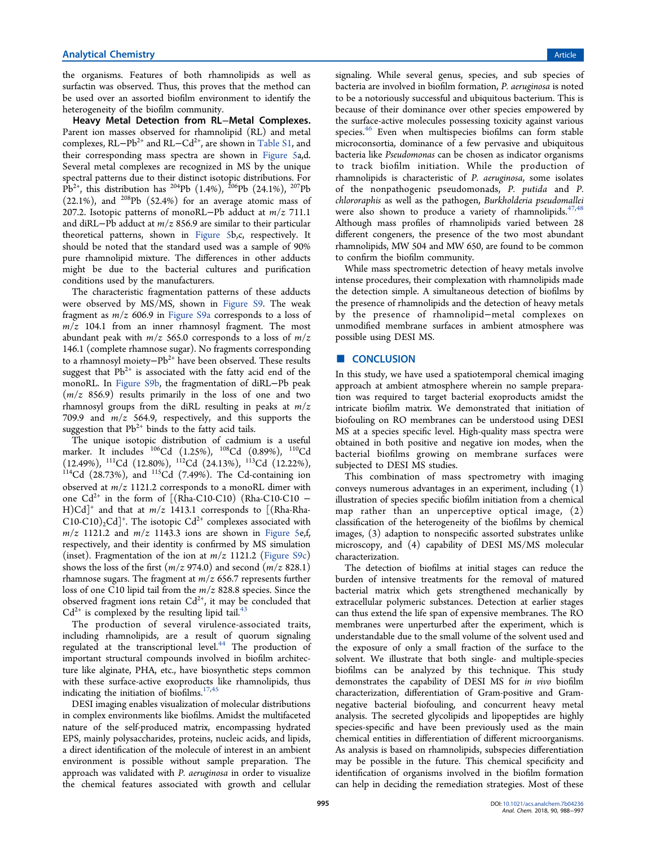the organisms. Features of both rhamnolipids as well as surfactin was observed. Thus, this proves that the method can be used over an assorted biofilm environment to identify the heterogeneity of the biofilm community.

Heavy Metal Detection from RL−Metal Complexes. Parent ion masses observed for rhamnolipid (RL) and metal complexes, RL−Pb<sup>2+</sup> and RL−Cd<sup>2+</sup>, are shown in Table S1, and their corresponding mass spectra are shown in Figure 5a,d. Several metal complexes are recognized in MS by the unique spectral patterns due to their distinct isotopic distributions. For  $\overline{Pb}^{2+}$ , this distribution has <sup>204</sup>Pb (1.4%), <sup>206</sup>Pb (24.1%), <sup>207</sup>Pb  $(22.1\%)$ , and <sup>208</sup>Pb  $(52.4\%)$  for an average atomic mass of 207.2. Isotopic patterns of monoRL−Pb adduct at *m*/*z* 711.1 and diRL−Pb adduct at *m*/*z* 856.9 are similar to their particular theoretical patterns, shown in Figure 5b,c, respectively. It should be noted that the standard used was a sample of 90% pure rhamnolipid mixture. The differences in other adducts might be due to the bacterial cultures and purification conditions used by the manufacturers.

The characteristic fragmentation patterns of these adducts were observed by MS/MS, shown in Figure S9. The weak fragment as *m*/*z* 606.9 in Figure S9a corresponds to a loss of *m*/*z* 104.1 from an inner rhamnosyl fragment. The most abundant peak with *m*/*z* 565.0 corresponds to a loss of *m*/*z* 146.1 (complete rhamnose sugar). No fragments corresponding to a rhamnosyl moiety−Pb2+ have been observed. These results suggest that  $Pb^{2+}$  is associated with the fatty acid end of the monoRL. In Figure S9b, the fragmentation of diRL−Pb peak (*m*/*z* 856.9) results primarily in the loss of one and two rhamnosyl groups from the diRL resulting in peaks at *m*/*z* 709.9 and *m*/*z* 564.9, respectively, and this supports the suggestion that  $Pb^{2+}$  binds to the fatty acid tails.

The unique isotopic distribution of cadmium is a useful marker. It includes <sup>106</sup>Cd (1.25%), <sup>108</sup>Cd (0.89%), <sup>110</sup>Cd (12.49%), <sup>111</sup>Cd (12.80%), <sup>112</sup>Cd (24.13%), <sup>113</sup>Cd (12.22%),  $114$ Cd (28.73%), and  $115$ Cd (7.49%). The Cd-containing ion observed at *m*/*z* 1121.2 corresponds to a monoRL dimer with one  $Cd^{2+}$  in the form of [(Rha-C10-C10) (Rha-C10-C10 – H)Cd]<sup>+</sup> and that at *m*/*z* 1413.1 corresponds to [(Rha-Rha-C10-C10)<sub>2</sub>Cd]<sup>+</sup>. The isotopic Cd<sup>2+</sup> complexes associated with  $m/z$  1121.2 and  $m/z$  1143.3 ions are shown in Figure 5e,f, respectively, and their identity is confirmed by MS simulation (inset). Fragmentation of the ion at  $m/z$  1121.2 (Figure S9c) shows the loss of the first  $(m/z 974.0)$  and second  $(m/z 828.1)$ rhamnose sugars. The fragment at *m*/*z* 656.7 represents further loss of one C10 lipid tail from the *m*/*z* 828.8 species. Since the observed fragment ions retain  $Cd^{2+}$ , it may be concluded that  $Cd^{2+}$  is complexed by the resulting lipid tail.<sup>43</sup>

The production of several virulence-associated traits, including rhamnolipids, are a result of quorum signaling regulated at the transcriptional level.<sup>44</sup> The production of important structural compounds involved in biofilm architecture like alginate, PHA, etc., have biosynthetic steps common with these surface-active exoproducts like rhamnolipids, thus indicating the initiation of biofilms.<sup>17,45</sup>

DESI imaging enables visualization of molecular distributions in complex environments like biofilms. Amidst the multifaceted nature of the self-produced matrix, encompassing hydrated EPS, mainly polysaccharides, proteins, nucleic acids, and lipids, a direct identification of the molecule of interest in an ambient environment is possible without sample preparation. The approach was validated with *P. aeruginosa* in order to visualize the chemical features associated with growth and cellular

signaling. While several genus, species, and sub species of bacteria are involved in biofilm formation, *P. aeruginosa* is noted to be a notoriously successful and ubiquitous bacterium. This is because of their dominance over other species empowered by the surface-active molecules possessing toxicity against various species.<sup>46</sup> Even when multispecies biofilms can form stable microconsortia, dominance of a few pervasive and ubiquitous bacteria like *Pseudomonas* can be chosen as indicator organisms to track biofilm initiation. While the production of rhamnolipids is characteristic of *P. aeruginosa*, some isolates of the nonpathogenic pseudomonads, *P. putida* and *P. chlororaphis* as well as the pathogen, *Burkholderia pseudomallei* were also shown to produce a variety of rhamnolipids.<sup>47,48</sup> Although mass profiles of rhamnolipids varied between 28 different congeners, the presence of the two most abundant rhamnolipids, MW 504 and MW 650, are found to be common to confirm the biofilm community.

While mass spectrometric detection of heavy metals involve intense procedures, their complexation with rhamnolipids made the detection simple. A simultaneous detection of biofilms by the presence of rhamnolipids and the detection of heavy metals by the presence of rhamnolipid−metal complexes on unmodified membrane surfaces in ambient atmosphere was possible using DESI MS.

# ■ CONCLUSION

In this study, we have used a spatiotemporal chemical imaging approach at ambient atmosphere wherein no sample preparation was required to target bacterial exoproducts amidst the intricate biofilm matrix. We demonstrated that initiation of biofouling on RO membranes can be understood using DESI MS at a species specific level. High-quality mass spectra were obtained in both positive and negative ion modes, when the bacterial biofilms growing on membrane surfaces were subjected to DESI MS studies.

This combination of mass spectrometry with imaging conveys numerous advantages in an experiment, including (1) illustration of species specific biofilm initiation from a chemical map rather than an unperceptive optical image, (2) classification of the heterogeneity of the biofilms by chemical images, (3) adaption to nonspecific assorted substrates unlike microscopy, and (4) capability of DESI MS/MS molecular characterization.

The detection of biofilms at initial stages can reduce the burden of intensive treatments for the removal of matured bacterial matrix which gets strengthened mechanically by extracellular polymeric substances. Detection at earlier stages can thus extend the life span of expensive membranes. The RO membranes were unperturbed after the experiment, which is understandable due to the small volume of the solvent used and the exposure of only a small fraction of the surface to the solvent. We illustrate that both single- and multiple-species biofilms can be analyzed by this technique. This study demonstrates the capability of DESI MS for *in vivo* biofilm characterization, differentiation of Gram-positive and Gramnegative bacterial biofouling, and concurrent heavy metal analysis. The secreted glycolipids and lipopeptides are highly species-specific and have been previously used as the main chemical entities in differentiation of different microorganisms. As analysis is based on rhamnolipids, subspecies differentiation may be possible in the future. This chemical specificity and identification of organisms involved in the biofilm formation can help in deciding the remediation strategies. Most of these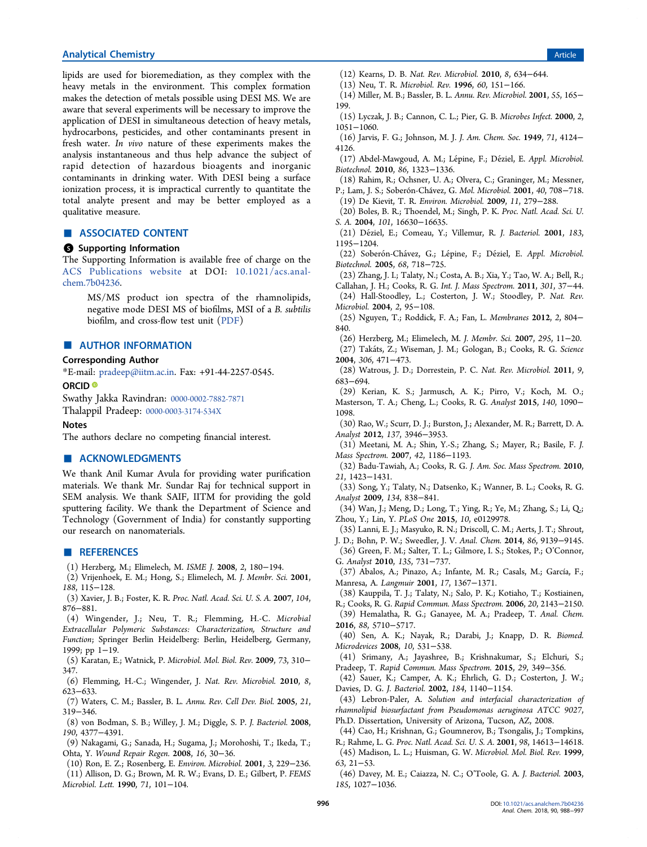# **Analytical Chemistry Article** Article **Analytical Chemistry** Article **Article Article Article Article Article**

lipids are used for bioremediation, as they complex with the heavy metals in the environment. This complex formation makes the detection of metals possible using DESI MS. We are aware that several experiments will be necessary to improve the application of DESI in simultaneous detection of heavy metals, hydrocarbons, pesticides, and other contaminants present in fresh water. *In vivo* nature of these experiments makes the analysis instantaneous and thus help advance the subject of rapid detection of hazardous bioagents and inorganic contaminants in drinking water. With DESI being a surface ionization process, it is impractical currently to quantitate the total analyte present and may be better employed as a qualitative measure.

# ■ ASSOCIATED CONTENT

# **6** Supporting Information

The Supporting Information is available free of charge on the ACS Publications website at DOI: 10.1021/acs.analchem.7b04236.

MS/MS product ion spectra of the rhamnolipids, negative mode DESI MS of biofilms, MSI of a *B. subtilis* biofilm, and cross-flow test unit (PDF)

# ■ AUTHOR INFORMATION

# Corresponding Author

\*E-mail: pradeep@iitm.ac.in. Fax: +91-44-2257-0545.

#### ORCID<sup>®</sup>

Swathy Jakka Ravindran: 0000-0002-7882-7871

Thalappil Pradeep: 0000-0003-3174-534X

# Notes

The authors declare no competing financial interest.

# ■ ACKNOWLEDGMENTS

We thank Anil Kumar Avula for providing water purification materials. We thank Mr. Sundar Raj for technical support in SEM analysis. We thank SAIF, IITM for providing the gold sputtering facility. We thank the Department of Science and Technology (Government of India) for constantly supporting our research on nanomaterials.

#### **ENDERGERENCES**

- (1) Herzberg, M.; Elimelech, M. *ISME J.* 2008, *2*, 180−194.
- (2) Vrijenhoek, E. M.; Hong, S.; Elimelech, M. *J. Membr. Sci.* 2001, *188*, 115−128.
- (3) Xavier, J. B.; Foster, K. R. *Proc. Natl. Acad. Sci. U. S. A.* 2007, *104*, 876−881.

(4) Wingender, J.; Neu, T. R.; Flemming, H.-C. *Microbial Extracellular Polymeric Substances: Characterization, Structure and Function*; Springer Berlin Heidelberg: Berlin, Heidelberg, Germany, 1999; pp 1−19.

(5) Karatan, E.; Watnick, P. *Microbiol. Mol. Biol. Rev.* 2009, *73*, 310− 347.

(6) Flemming, H.-C.; Wingender, J. *Nat. Rev. Microbiol.* 2010, *8*, 623−633.

(7) Waters, C. M.; Bassler, B. L. *Annu. Rev. Cell Dev. Biol.* 2005, *21*, 319−346.

(8) von Bodman, S. B.; Willey, J. M.; Diggle, S. P. *J. Bacteriol.* 2008, *190*, 4377−4391.

(9) Nakagami, G.; Sanada, H.; Sugama, J.; Morohoshi, T.; Ikeda, T.; Ohta, Y. *Wound Repair Regen.* 2008, *16*, 30−36.

(10) Ron, E. Z.; Rosenberg, E. *Environ. Microbiol.* 2001, *3*, 229−236. (11) Allison, D. G.; Brown, M. R. W.; Evans, D. E.; Gilbert, P. *FEMS Microbiol. Lett.* 1990, *71*, 101−104.

- (12) Kearns, D. B. *Nat. Rev. Microbiol.* 2010, *8*, 634−644.
- (13) Neu, T. R. *Microbiol. Rev.* 1996, *60*, 151−166.
- (14) Miller, M. B.; Bassler, B. L. *Annu. Rev. Microbiol.* 2001, *55*, 165− 199.
- (15) Lyczak, J. B.; Cannon, C. L.; Pier, G. B. *Microbes Infect.* 2000, *2*, 1051−1060.
- (16) Jarvis, F. G.; Johnson, M. J. *J. Am. Chem. Soc.* 1949, *71*, 4124− 4126.

(17) Abdel-Mawgoud, A. M.; Lepine, F.; De ́ ziel, E. ́ *Appl. Microbiol. Biotechnol.* 2010, *86*, 1323−1336.

(18) Rahim, R.; Ochsner, U. A.; Olvera, C.; Graninger, M.; Messner, P.; Lam, J. S.; Soberón-Chávez, G. *Mol. Microbiol.* 2001, *40*, 708−718. (19) De Kievit, T. R. *Environ. Microbiol.* 2009, *11*, 279−288.

(20) Boles, B. R.; Thoendel, M.; Singh, P. K. *Proc. Natl. Acad. Sci. U. S. A.* 2004, *101*, 16630−16635.

(21) Deziel, E.; Comeau, Y.; Villemur, R. ́ *J. Bacteriol.* 2001, *183*, 1195−1204.

(22) Soberón-Chávez, G.; Lépine, F.; Déziel, E. Appl. Microbiol. *Biotechnol.* 2005, *68*, 718−725.

(23) Zhang, J. I.; Talaty, N.; Costa, A. B.; Xia, Y.; Tao, W. A.; Bell, R.; Callahan, J. H.; Cooks, R. G. *Int. J. Mass Spectrom.* 2011, *301*, 37−44.

(24) Hall-Stoodley, L.; Costerton, J. W.; Stoodley, P. *Nat. Rev. Microbiol.* 2004, *2*, 95−108.

(25) Nguyen, T.; Roddick, F. A.; Fan, L. *Membranes* 2012, *2*, 804− 840.

(26) Herzberg, M.; Elimelech, M. *J. Membr. Sci.* 2007, *295*, 11−20.

(27) Takats, Z.; Wiseman, J. M.; Gologan, B.; Cooks, R. G. ́ *Science* 2004, *306*, 471−473.

(28) Watrous, J. D.; Dorrestein, P. C. *Nat. Rev. Microbiol.* 2011, *9*, 683−694.

(29) Kerian, K. S.; Jarmusch, A. K.; Pirro, V.; Koch, M. O.; Masterson, T. A.; Cheng, L.; Cooks, R. G. *Analyst* 2015, *140*, 1090− 1098.

(30) Rao, W.; Scurr, D. J.; Burston, J.; Alexander, M. R.; Barrett, D. A. *Analyst* 2012, *137*, 3946−3953.

(31) Meetani, M. A.; Shin, Y.-S.; Zhang, S.; Mayer, R.; Basile, F. *J. Mass Spectrom.* 2007, *42*, 1186−1193.

(32) Badu-Tawiah, A.; Cooks, R. G. *J. Am. Soc. Mass Spectrom.* 2010, *21*, 1423−1431.

(33) Song, Y.; Talaty, N.; Datsenko, K.; Wanner, B. L.; Cooks, R. G. *Analyst* 2009, *134*, 838−841.

(34) Wan, J.; Meng, D.; Long, T.; Ying, R.; Ye, M.; Zhang, S.; Li, Q.; Zhou, Y.; Lin, Y. *PLoS One* 2015, *10*, e0129978.

(35) Lanni, E. J.; Masyuko, R. N.; Driscoll, C. M.; Aerts, J. T.; Shrout,

- J. D.; Bohn, P. W.; Sweedler, J. V. *Anal. Chem.* 2014, *86*, 9139−9145. (36) Green, F. M.; Salter, T. L.; Gilmore, I. S.; Stokes, P.; O'Connor, G. *Analyst* 2010, *135*, 731−737.
- (37) Abalos, A.; Pinazo, A.; Infante, M. R.; Casals, M.; García, F.; Manresa, A. *Langmuir* 2001, *17*, 1367−1371.

(38) Kauppila, T. J.; Talaty, N.; Salo, P. K.; Kotiaho, T.; Kostiainen,

R.; Cooks, R. G. *Rapid Commun. Mass Spectrom.* 2006, *20*, 2143−2150. (39) Hemalatha, R. G.; Ganayee, M. A.; Pradeep, T. *Anal. Chem.*

2016, *88*, 5710−5717.

(40) Sen, A. K.; Nayak, R.; Darabi, J.; Knapp, D. R. *Biomed. Microdevices* 2008, *10*, 531−538.

(41) Srimany, A.; Jayashree, B.; Krishnakumar, S.; Elchuri, S.; Pradeep, T. *Rapid Commun. Mass Spectrom.* 2015, *29*, 349−356.

(42) Sauer, K.; Camper, A. K.; Ehrlich, G. D.; Costerton, J. W.; Davies, D. G. *J. Bacteriol.* 2002, *184*, 1140−1154.

(43) Lebron-Paler, A. *Solution and interfacial characterization of rhamnolipid biosurfactant from Pseudomonas aeruginosa ATCC 9027*, Ph.D. Dissertation, University of Arizona, Tucson, AZ, 2008.

(44) Cao, H.; Krishnan, G.; Goumnerov, B.; Tsongalis, J.; Tompkins,

R.; Rahme, L. G. *Proc. Natl. Acad. Sci. U. S. A.* 2001, *98*, 14613−14618. (45) Madison, L. L.; Huisman, G. W. *Microbiol. Mol. Biol. Rev.* 1999, *63*, 21−53.

(46) Davey, M. E.; Caiazza, N. C.; O'Toole, G. A. *J. Bacteriol.* 2003, *185*, 1027−1036.